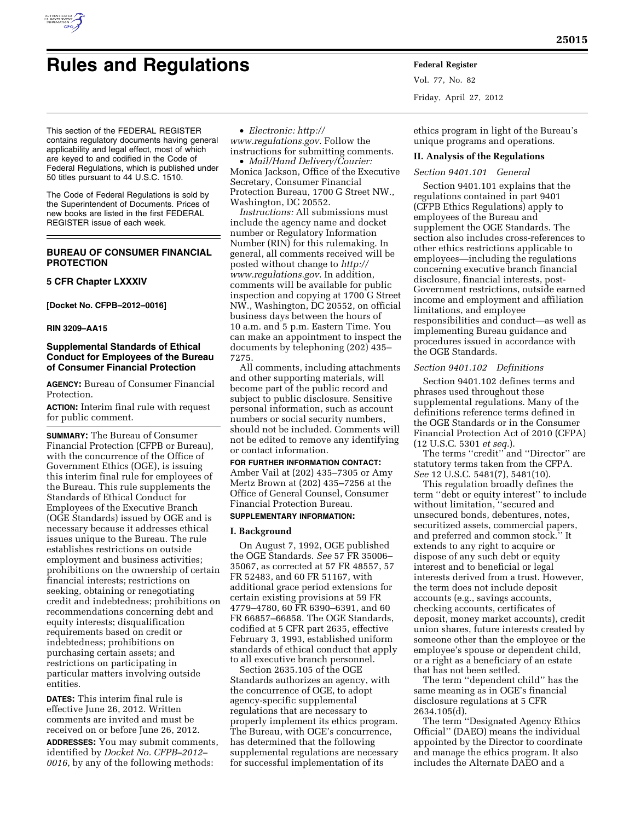

# **Rules and Regulations Federal Register**

This section of the FEDERAL REGISTER contains regulatory documents having general applicability and legal effect, most of which are keyed to and codified in the Code of Federal Regulations, which is published under 50 titles pursuant to 44 U.S.C. 1510.

The Code of Federal Regulations is sold by the Superintendent of Documents. Prices of new books are listed in the first FEDERAL REGISTER issue of each week.

# **BUREAU OF CONSUMER FINANCIAL PROTECTION**

#### **5 CFR Chapter LXXXIV**

**[Docket No. CFPB–2012–0016]** 

# **RIN 3209–AA15**

# **Supplemental Standards of Ethical Conduct for Employees of the Bureau of Consumer Financial Protection**

**AGENCY:** Bureau of Consumer Financial Protection.

**ACTION:** Interim final rule with request for public comment.

**SUMMARY:** The Bureau of Consumer Financial Protection (CFPB or Bureau), with the concurrence of the Office of Government Ethics (OGE), is issuing this interim final rule for employees of the Bureau. This rule supplements the Standards of Ethical Conduct for Employees of the Executive Branch (OGE Standards) issued by OGE and is necessary because it addresses ethical issues unique to the Bureau. The rule establishes restrictions on outside employment and business activities; prohibitions on the ownership of certain financial interests; restrictions on seeking, obtaining or renegotiating credit and indebtedness; prohibitions on recommendations concerning debt and equity interests; disqualification requirements based on credit or indebtedness; prohibitions on purchasing certain assets; and restrictions on participating in particular matters involving outside entities.

**DATES:** This interim final rule is effective June 26, 2012. Written comments are invited and must be received on or before June 26, 2012.

**ADDRESSES:** You may submit comments, identified by *Docket No. CFPB–2012– 0016,* by any of the following methods:

• *Electronic: [http://](http://www.regulations.gov)* 

*[www.regulations.gov](http://www.regulations.gov)*. Follow the instructions for submitting comments.

• *Mail/Hand Delivery/Courier:*  Monica Jackson, Office of the Executive Secretary, Consumer Financial Protection Bureau, 1700 G Street NW., Washington, DC 20552.

*Instructions:* All submissions must include the agency name and docket number or Regulatory Information Number (RIN) for this rulemaking. In general, all comments received will be posted without change to *[http://](http://www.regulations.gov) [www.regulations.gov](http://www.regulations.gov)*. In addition, comments will be available for public inspection and copying at 1700 G Street NW., Washington, DC 20552, on official business days between the hours of 10 a.m. and 5 p.m. Eastern Time. You can make an appointment to inspect the documents by telephoning (202) 435– 7275.

All comments, including attachments and other supporting materials, will become part of the public record and subject to public disclosure. Sensitive personal information, such as account numbers or social security numbers, should not be included. Comments will not be edited to remove any identifying or contact information.

#### **FOR FURTHER INFORMATION CONTACT:**

Amber Vail at (202) 435–7305 or Amy Mertz Brown at (202) 435–7256 at the Office of General Counsel, Consumer Financial Protection Bureau.

# **SUPPLEMENTARY INFORMATION:**

#### **I. Background**

On August 7, 1992, OGE published the OGE Standards. *See* 57 FR 35006– 35067, as corrected at 57 FR 48557, 57 FR 52483, and 60 FR 51167, with additional grace period extensions for certain existing provisions at 59 FR 4779–4780, 60 FR 6390–6391, and 60 FR 66857–66858. The OGE Standards, codified at 5 CFR part 2635, effective February 3, 1993, established uniform standards of ethical conduct that apply to all executive branch personnel.

Section 2635.105 of the OGE Standards authorizes an agency, with the concurrence of OGE, to adopt agency-specific supplemental regulations that are necessary to properly implement its ethics program. The Bureau, with OGE's concurrence, has determined that the following supplemental regulations are necessary for successful implementation of its

Vol. 77, No. 82 Friday, April 27, 2012

ethics program in light of the Bureau's unique programs and operations.

## **II. Analysis of the Regulations**

# *Section 9401.101 General*

Section 9401.101 explains that the regulations contained in part 9401 (CFPB Ethics Regulations) apply to employees of the Bureau and supplement the OGE Standards. The section also includes cross-references to other ethics restrictions applicable to employees—including the regulations concerning executive branch financial disclosure, financial interests, post-Government restrictions, outside earned income and employment and affiliation limitations, and employee responsibilities and conduct—as well as implementing Bureau guidance and procedures issued in accordance with the OGE Standards.

## *Section 9401.102 Definitions*

Section 9401.102 defines terms and phrases used throughout these supplemental regulations. Many of the definitions reference terms defined in the OGE Standards or in the Consumer Financial Protection Act of 2010 (CFPA) (12 U.S.C. 5301 *et seq.*).

The terms ''credit'' and ''Director'' are statutory terms taken from the CFPA. *See* 12 U.S.C. 5481(7), 5481(10).

This regulation broadly defines the term ''debt or equity interest'' to include without limitation, ''secured and unsecured bonds, debentures, notes, securitized assets, commercial papers, and preferred and common stock.'' It extends to any right to acquire or dispose of any such debt or equity interest and to beneficial or legal interests derived from a trust. However, the term does not include deposit accounts (e.g., savings accounts, checking accounts, certificates of deposit, money market accounts), credit union shares, future interests created by someone other than the employee or the employee's spouse or dependent child, or a right as a beneficiary of an estate that has not been settled.

The term ''dependent child'' has the same meaning as in OGE's financial disclosure regulations at 5 CFR 2634.105(d).

The term ''Designated Agency Ethics Official'' (DAEO) means the individual appointed by the Director to coordinate and manage the ethics program. It also includes the Alternate DAEO and a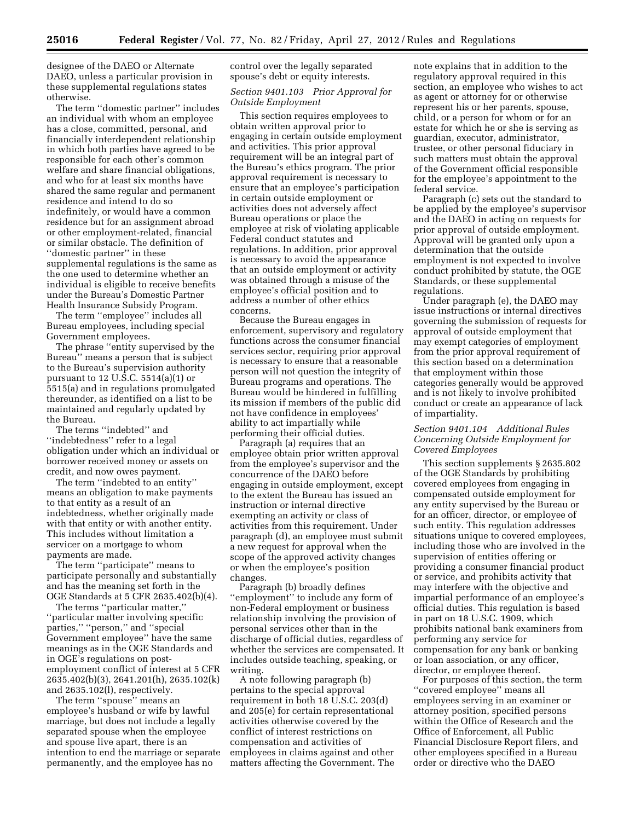designee of the DAEO or Alternate DAEO, unless a particular provision in these supplemental regulations states otherwise.

The term ''domestic partner'' includes an individual with whom an employee has a close, committed, personal, and financially interdependent relationship in which both parties have agreed to be responsible for each other's common welfare and share financial obligations, and who for at least six months have shared the same regular and permanent residence and intend to do so indefinitely, or would have a common residence but for an assignment abroad or other employment-related, financial or similar obstacle. The definition of ''domestic partner'' in these supplemental regulations is the same as the one used to determine whether an individual is eligible to receive benefits under the Bureau's Domestic Partner Health Insurance Subsidy Program.

The term ''employee'' includes all Bureau employees, including special Government employees.

The phrase ''entity supervised by the Bureau'' means a person that is subject to the Bureau's supervision authority pursuant to 12 U.S.C. 5514(a)(1) or 5515(a) and in regulations promulgated thereunder, as identified on a list to be maintained and regularly updated by the Bureau.

The terms ''indebted'' and ''indebtedness'' refer to a legal obligation under which an individual or borrower received money or assets on credit, and now owes payment.

The term ''indebted to an entity'' means an obligation to make payments to that entity as a result of an indebtedness, whether originally made with that entity or with another entity. This includes without limitation a servicer on a mortgage to whom payments are made.

The term ''participate'' means to participate personally and substantially and has the meaning set forth in the OGE Standards at 5 CFR 2635.402(b)(4).

The terms ''particular matter,'' ''particular matter involving specific parties," "person," and "special Government employee'' have the same meanings as in the OGE Standards and in OGE's regulations on postemployment conflict of interest at 5 CFR 2635.402(b)(3), 2641.201(h), 2635.102(k) and 2635.102(l), respectively.

The term ''spouse'' means an employee's husband or wife by lawful marriage, but does not include a legally separated spouse when the employee and spouse live apart, there is an intention to end the marriage or separate permanently, and the employee has no

control over the legally separated spouse's debt or equity interests.

# *Section 9401.103 Prior Approval for Outside Employment*

This section requires employees to obtain written approval prior to engaging in certain outside employment and activities. This prior approval requirement will be an integral part of the Bureau's ethics program. The prior approval requirement is necessary to ensure that an employee's participation in certain outside employment or activities does not adversely affect Bureau operations or place the employee at risk of violating applicable Federal conduct statutes and regulations. In addition, prior approval is necessary to avoid the appearance that an outside employment or activity was obtained through a misuse of the employee's official position and to address a number of other ethics concerns.

Because the Bureau engages in enforcement, supervisory and regulatory functions across the consumer financial services sector, requiring prior approval is necessary to ensure that a reasonable person will not question the integrity of Bureau programs and operations. The Bureau would be hindered in fulfilling its mission if members of the public did not have confidence in employees' ability to act impartially while performing their official duties.

Paragraph (a) requires that an employee obtain prior written approval from the employee's supervisor and the concurrence of the DAEO before engaging in outside employment, except to the extent the Bureau has issued an instruction or internal directive exempting an activity or class of activities from this requirement. Under paragraph (d), an employee must submit a new request for approval when the scope of the approved activity changes or when the employee's position changes.

Paragraph (b) broadly defines ''employment'' to include any form of non-Federal employment or business relationship involving the provision of personal services other than in the discharge of official duties, regardless of whether the services are compensated. It includes outside teaching, speaking, or writing.

A note following paragraph (b) pertains to the special approval requirement in both 18 U.S.C. 203(d) and 205(e) for certain representational activities otherwise covered by the conflict of interest restrictions on compensation and activities of employees in claims against and other matters affecting the Government. The note explains that in addition to the regulatory approval required in this section, an employee who wishes to act as agent or attorney for or otherwise represent his or her parents, spouse, child, or a person for whom or for an estate for which he or she is serving as guardian, executor, administrator, trustee, or other personal fiduciary in such matters must obtain the approval of the Government official responsible for the employee's appointment to the federal service.

Paragraph (c) sets out the standard to be applied by the employee's supervisor and the DAEO in acting on requests for prior approval of outside employment. Approval will be granted only upon a determination that the outside employment is not expected to involve conduct prohibited by statute, the OGE Standards, or these supplemental regulations.

Under paragraph (e), the DAEO may issue instructions or internal directives governing the submission of requests for approval of outside employment that may exempt categories of employment from the prior approval requirement of this section based on a determination that employment within those categories generally would be approved and is not likely to involve prohibited conduct or create an appearance of lack of impartiality.

# *Section 9401.104 Additional Rules Concerning Outside Employment for Covered Employees*

This section supplements § 2635.802 of the OGE Standards by prohibiting covered employees from engaging in compensated outside employment for any entity supervised by the Bureau or for an officer, director, or employee of such entity. This regulation addresses situations unique to covered employees, including those who are involved in the supervision of entities offering or providing a consumer financial product or service, and prohibits activity that may interfere with the objective and impartial performance of an employee's official duties. This regulation is based in part on 18 U.S.C. 1909, which prohibits national bank examiners from performing any service for compensation for any bank or banking or loan association, or any officer, director, or employee thereof.

For purposes of this section, the term ''covered employee'' means all employees serving in an examiner or attorney position, specified persons within the Office of Research and the Office of Enforcement, all Public Financial Disclosure Report filers, and other employees specified in a Bureau order or directive who the DAEO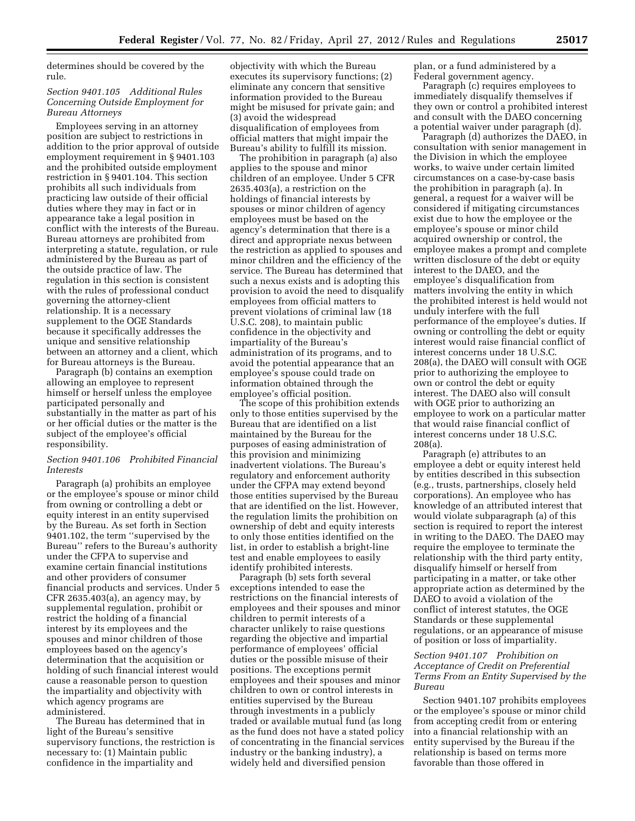determines should be covered by the rule.

# *Section 9401.105 Additional Rules Concerning Outside Employment for Bureau Attorneys*

Employees serving in an attorney position are subject to restrictions in addition to the prior approval of outside employment requirement in § 9401.103 and the prohibited outside employment restriction in § 9401.104. This section prohibits all such individuals from practicing law outside of their official duties where they may in fact or in appearance take a legal position in conflict with the interests of the Bureau. Bureau attorneys are prohibited from interpreting a statute, regulation, or rule administered by the Bureau as part of the outside practice of law. The regulation in this section is consistent with the rules of professional conduct governing the attorney-client relationship. It is a necessary supplement to the OGE Standards because it specifically addresses the unique and sensitive relationship between an attorney and a client, which for Bureau attorneys is the Bureau.

Paragraph (b) contains an exemption allowing an employee to represent himself or herself unless the employee participated personally and substantially in the matter as part of his or her official duties or the matter is the subject of the employee's official responsibility.

# *Section 9401.106 Prohibited Financial Interests*

Paragraph (a) prohibits an employee or the employee's spouse or minor child from owning or controlling a debt or equity interest in an entity supervised by the Bureau. As set forth in Section 9401.102, the term ''supervised by the Bureau'' refers to the Bureau's authority under the CFPA to supervise and examine certain financial institutions and other providers of consumer financial products and services. Under 5 CFR 2635.403(a), an agency may, by supplemental regulation, prohibit or restrict the holding of a financial interest by its employees and the spouses and minor children of those employees based on the agency's determination that the acquisition or holding of such financial interest would cause a reasonable person to question the impartiality and objectivity with which agency programs are administered.

The Bureau has determined that in light of the Bureau's sensitive supervisory functions, the restriction is necessary to: (1) Maintain public confidence in the impartiality and

objectivity with which the Bureau executes its supervisory functions; (2) eliminate any concern that sensitive information provided to the Bureau might be misused for private gain; and (3) avoid the widespread disqualification of employees from official matters that might impair the Bureau's ability to fulfill its mission.

The prohibition in paragraph (a) also applies to the spouse and minor children of an employee. Under 5 CFR 2635.403(a), a restriction on the holdings of financial interests by spouses or minor children of agency employees must be based on the agency's determination that there is a direct and appropriate nexus between the restriction as applied to spouses and minor children and the efficiency of the service. The Bureau has determined that such a nexus exists and is adopting this provision to avoid the need to disqualify employees from official matters to prevent violations of criminal law (18 U.S.C. 208), to maintain public confidence in the objectivity and impartiality of the Bureau's administration of its programs, and to avoid the potential appearance that an employee's spouse could trade on information obtained through the employee's official position.

The scope of this prohibition extends only to those entities supervised by the Bureau that are identified on a list maintained by the Bureau for the purposes of easing administration of this provision and minimizing inadvertent violations. The Bureau's regulatory and enforcement authority under the CFPA may extend beyond those entities supervised by the Bureau that are identified on the list. However, the regulation limits the prohibition on ownership of debt and equity interests to only those entities identified on the list, in order to establish a bright-line test and enable employees to easily identify prohibited interests.

Paragraph (b) sets forth several exceptions intended to ease the restrictions on the financial interests of employees and their spouses and minor children to permit interests of a character unlikely to raise questions regarding the objective and impartial performance of employees' official duties or the possible misuse of their positions. The exceptions permit employees and their spouses and minor children to own or control interests in entities supervised by the Bureau through investments in a publicly traded or available mutual fund (as long as the fund does not have a stated policy of concentrating in the financial services industry or the banking industry), a widely held and diversified pension

plan, or a fund administered by a Federal government agency.

Paragraph (c) requires employees to immediately disqualify themselves if they own or control a prohibited interest and consult with the DAEO concerning a potential waiver under paragraph (d).

Paragraph (d) authorizes the DAEO, in consultation with senior management in the Division in which the employee works, to waive under certain limited circumstances on a case-by-case basis the prohibition in paragraph (a). In general, a request for a waiver will be considered if mitigating circumstances exist due to how the employee or the employee's spouse or minor child acquired ownership or control, the employee makes a prompt and complete written disclosure of the debt or equity interest to the DAEO, and the employee's disqualification from matters involving the entity in which the prohibited interest is held would not unduly interfere with the full performance of the employee's duties. If owning or controlling the debt or equity interest would raise financial conflict of interest concerns under 18 U.S.C. 208(a), the DAEO will consult with OGE prior to authorizing the employee to own or control the debt or equity interest. The DAEO also will consult with OGE prior to authorizing an employee to work on a particular matter that would raise financial conflict of interest concerns under 18 U.S.C. 208(a).

Paragraph (e) attributes to an employee a debt or equity interest held by entities described in this subsection (e.g., trusts, partnerships, closely held corporations). An employee who has knowledge of an attributed interest that would violate subparagraph (a) of this section is required to report the interest in writing to the DAEO. The DAEO may require the employee to terminate the relationship with the third party entity, disqualify himself or herself from participating in a matter, or take other appropriate action as determined by the DAEO to avoid a violation of the conflict of interest statutes, the OGE Standards or these supplemental regulations, or an appearance of misuse of position or loss of impartiality.

# *Section 9401.107 Prohibition on Acceptance of Credit on Preferential Terms From an Entity Supervised by the Bureau*

Section 9401.107 prohibits employees or the employee's spouse or minor child from accepting credit from or entering into a financial relationship with an entity supervised by the Bureau if the relationship is based on terms more favorable than those offered in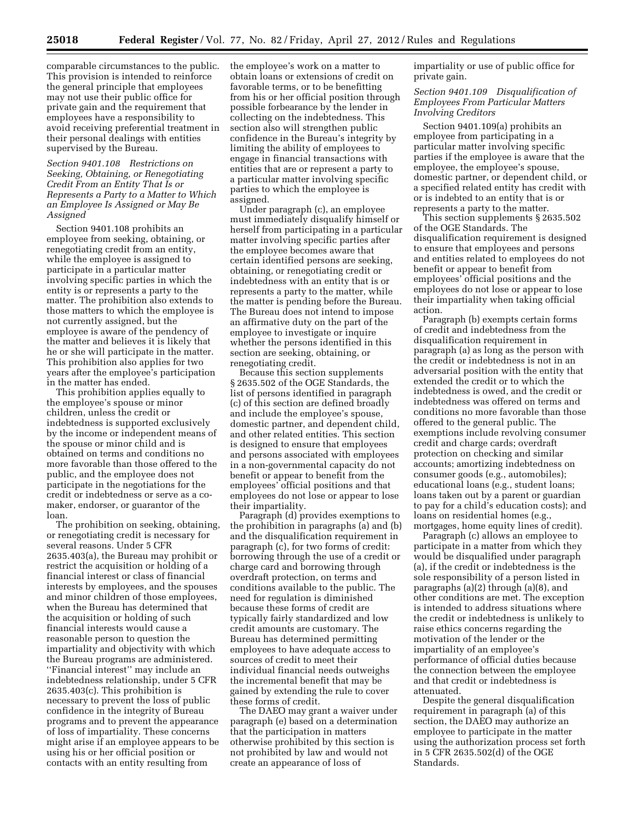comparable circumstances to the public. This provision is intended to reinforce the general principle that employees may not use their public office for private gain and the requirement that employees have a responsibility to avoid receiving preferential treatment in their personal dealings with entities supervised by the Bureau.

# *Section 9401.108 Restrictions on Seeking, Obtaining, or Renegotiating Credit From an Entity That Is or Represents a Party to a Matter to Which an Employee Is Assigned or May Be Assigned*

Section 9401.108 prohibits an employee from seeking, obtaining, or renegotiating credit from an entity, while the employee is assigned to participate in a particular matter involving specific parties in which the entity is or represents a party to the matter. The prohibition also extends to those matters to which the employee is not currently assigned, but the employee is aware of the pendency of the matter and believes it is likely that he or she will participate in the matter. This prohibition also applies for two years after the employee's participation in the matter has ended.

This prohibition applies equally to the employee's spouse or minor children, unless the credit or indebtedness is supported exclusively by the income or independent means of the spouse or minor child and is obtained on terms and conditions no more favorable than those offered to the public, and the employee does not participate in the negotiations for the credit or indebtedness or serve as a comaker, endorser, or guarantor of the loan.

The prohibition on seeking, obtaining, or renegotiating credit is necessary for several reasons. Under 5 CFR 2635.403(a), the Bureau may prohibit or restrict the acquisition or holding of a financial interest or class of financial interests by employees, and the spouses and minor children of those employees, when the Bureau has determined that the acquisition or holding of such financial interests would cause a reasonable person to question the impartiality and objectivity with which the Bureau programs are administered. ''Financial interest'' may include an indebtedness relationship, under 5 CFR 2635.403(c). This prohibition is necessary to prevent the loss of public confidence in the integrity of Bureau programs and to prevent the appearance of loss of impartiality. These concerns might arise if an employee appears to be using his or her official position or contacts with an entity resulting from

the employee's work on a matter to obtain loans or extensions of credit on favorable terms, or to be benefitting from his or her official position through possible forbearance by the lender in collecting on the indebtedness. This section also will strengthen public confidence in the Bureau's integrity by limiting the ability of employees to engage in financial transactions with entities that are or represent a party to a particular matter involving specific parties to which the employee is assigned.

Under paragraph (c), an employee must immediately disqualify himself or herself from participating in a particular matter involving specific parties after the employee becomes aware that certain identified persons are seeking, obtaining, or renegotiating credit or indebtedness with an entity that is or represents a party to the matter, while the matter is pending before the Bureau. The Bureau does not intend to impose an affirmative duty on the part of the employee to investigate or inquire whether the persons identified in this section are seeking, obtaining, or renegotiating credit.

Because this section supplements § 2635.502 of the OGE Standards, the list of persons identified in paragraph (c) of this section are defined broadly and include the employee's spouse, domestic partner, and dependent child, and other related entities. This section is designed to ensure that employees and persons associated with employees in a non-governmental capacity do not benefit or appear to benefit from the employees' official positions and that employees do not lose or appear to lose their impartiality.

Paragraph (d) provides exemptions to the prohibition in paragraphs (a) and (b) and the disqualification requirement in paragraph (c), for two forms of credit: borrowing through the use of a credit or charge card and borrowing through overdraft protection, on terms and conditions available to the public. The need for regulation is diminished because these forms of credit are typically fairly standardized and low credit amounts are customary. The Bureau has determined permitting employees to have adequate access to sources of credit to meet their individual financial needs outweighs the incremental benefit that may be gained by extending the rule to cover these forms of credit.

The DAEO may grant a waiver under paragraph (e) based on a determination that the participation in matters otherwise prohibited by this section is not prohibited by law and would not create an appearance of loss of

impartiality or use of public office for private gain.

*Section 9401.109 Disqualification of Employees From Particular Matters Involving Creditors* 

Section 9401.109(a) prohibits an employee from participating in a particular matter involving specific parties if the employee is aware that the employee, the employee's spouse, domestic partner, or dependent child, or a specified related entity has credit with or is indebted to an entity that is or represents a party to the matter.

This section supplements § 2635.502 of the OGE Standards. The disqualification requirement is designed to ensure that employees and persons and entities related to employees do not benefit or appear to benefit from employees' official positions and the employees do not lose or appear to lose their impartiality when taking official action.

Paragraph (b) exempts certain forms of credit and indebtedness from the disqualification requirement in paragraph (a) as long as the person with the credit or indebtedness is not in an adversarial position with the entity that extended the credit or to which the indebtedness is owed, and the credit or indebtedness was offered on terms and conditions no more favorable than those offered to the general public. The exemptions include revolving consumer credit and charge cards; overdraft protection on checking and similar accounts; amortizing indebtedness on consumer goods (e.g., automobiles); educational loans (e.g., student loans; loans taken out by a parent or guardian to pay for a child's education costs); and loans on residential homes (e.g., mortgages, home equity lines of credit).

Paragraph (c) allows an employee to participate in a matter from which they would be disqualified under paragraph (a), if the credit or indebtedness is the sole responsibility of a person listed in paragraphs (a)(2) through (a)(8), and other conditions are met. The exception is intended to address situations where the credit or indebtedness is unlikely to raise ethics concerns regarding the motivation of the lender or the impartiality of an employee's performance of official duties because the connection between the employee and that credit or indebtedness is attenuated.

Despite the general disqualification requirement in paragraph (a) of this section, the DAEO may authorize an employee to participate in the matter using the authorization process set forth in 5 CFR 2635.502(d) of the OGE Standards.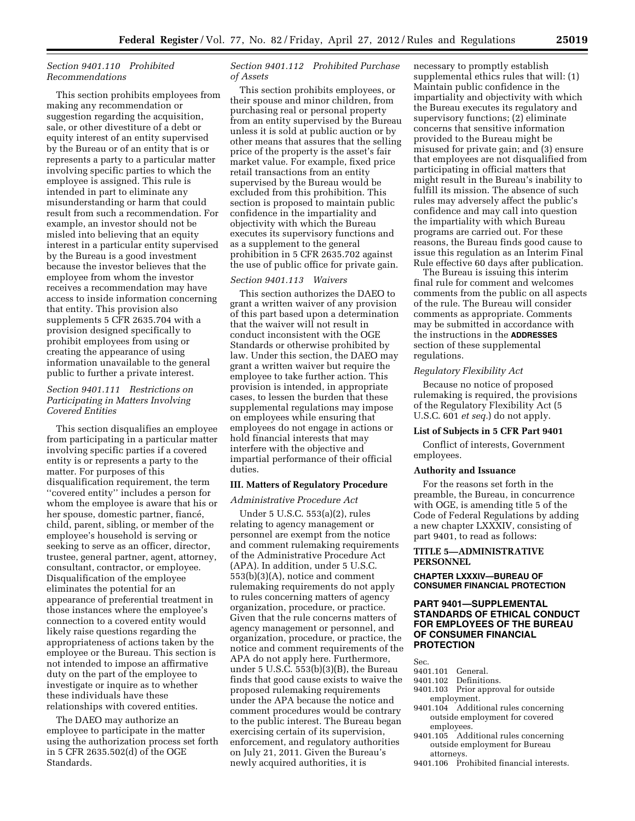# *Section 9401.110 Prohibited Recommendations*

This section prohibits employees from making any recommendation or suggestion regarding the acquisition, sale, or other divestiture of a debt or equity interest of an entity supervised by the Bureau or of an entity that is or represents a party to a particular matter involving specific parties to which the employee is assigned. This rule is intended in part to eliminate any misunderstanding or harm that could result from such a recommendation. For example, an investor should not be misled into believing that an equity interest in a particular entity supervised by the Bureau is a good investment because the investor believes that the employee from whom the investor receives a recommendation may have access to inside information concerning that entity. This provision also supplements 5 CFR 2635.704 with a provision designed specifically to prohibit employees from using or creating the appearance of using information unavailable to the general public to further a private interest.

# *Section 9401.111 Restrictions on Participating in Matters Involving Covered Entities*

This section disqualifies an employee from participating in a particular matter involving specific parties if a covered entity is or represents a party to the matter. For purposes of this disqualification requirement, the term ''covered entity'' includes a person for whom the employee is aware that his or her spouse, domestic partner, fiancé, child, parent, sibling, or member of the employee's household is serving or seeking to serve as an officer, director, trustee, general partner, agent, attorney, consultant, contractor, or employee. Disqualification of the employee eliminates the potential for an appearance of preferential treatment in those instances where the employee's connection to a covered entity would likely raise questions regarding the appropriateness of actions taken by the employee or the Bureau. This section is not intended to impose an affirmative duty on the part of the employee to investigate or inquire as to whether these individuals have these relationships with covered entities.

The DAEO may authorize an employee to participate in the matter using the authorization process set forth in 5 CFR 2635.502(d) of the OGE Standards.

# *Section 9401.112 Prohibited Purchase of Assets*

This section prohibits employees, or their spouse and minor children, from purchasing real or personal property from an entity supervised by the Bureau unless it is sold at public auction or by other means that assures that the selling price of the property is the asset's fair market value. For example, fixed price retail transactions from an entity supervised by the Bureau would be excluded from this prohibition. This section is proposed to maintain public confidence in the impartiality and objectivity with which the Bureau executes its supervisory functions and as a supplement to the general prohibition in 5 CFR 2635.702 against the use of public office for private gain.

# *Section 9401.113 Waivers*

This section authorizes the DAEO to grant a written waiver of any provision of this part based upon a determination that the waiver will not result in conduct inconsistent with the OGE Standards or otherwise prohibited by law. Under this section, the DAEO may grant a written waiver but require the employee to take further action. This provision is intended, in appropriate cases, to lessen the burden that these supplemental regulations may impose on employees while ensuring that employees do not engage in actions or hold financial interests that may interfere with the objective and impartial performance of their official duties.

# **III. Matters of Regulatory Procedure**

#### *Administrative Procedure Act*

Under 5 U.S.C. 553(a)(2), rules relating to agency management or personnel are exempt from the notice and comment rulemaking requirements of the Administrative Procedure Act (APA). In addition, under 5 U.S.C. 553(b)(3)(A), notice and comment rulemaking requirements do not apply to rules concerning matters of agency organization, procedure, or practice. Given that the rule concerns matters of agency management or personnel, and organization, procedure, or practice, the notice and comment requirements of the APA do not apply here. Furthermore, under 5 U.S.C. 553(b)(3)(B), the Bureau finds that good cause exists to waive the proposed rulemaking requirements under the APA because the notice and comment procedures would be contrary to the public interest. The Bureau began exercising certain of its supervision, enforcement, and regulatory authorities on July 21, 2011. Given the Bureau's newly acquired authorities, it is

necessary to promptly establish supplemental ethics rules that will: (1) Maintain public confidence in the impartiality and objectivity with which the Bureau executes its regulatory and supervisory functions; (2) eliminate concerns that sensitive information provided to the Bureau might be misused for private gain; and (3) ensure that employees are not disqualified from participating in official matters that might result in the Bureau's inability to fulfill its mission. The absence of such rules may adversely affect the public's confidence and may call into question the impartiality with which Bureau programs are carried out. For these reasons, the Bureau finds good cause to issue this regulation as an Interim Final Rule effective 60 days after publication.

The Bureau is issuing this interim final rule for comment and welcomes comments from the public on all aspects of the rule. The Bureau will consider comments as appropriate. Comments may be submitted in accordance with the instructions in the **ADDRESSES** section of these supplemental regulations.

#### *Regulatory Flexibility Act*

Because no notice of proposed rulemaking is required, the provisions of the Regulatory Flexibility Act (5 U.S.C. 601 *et seq.*) do not apply.

#### **List of Subjects in 5 CFR Part 9401**

Conflict of interests, Government employees.

# **Authority and Issuance**

For the reasons set forth in the preamble, the Bureau, in concurrence with OGE, is amending title 5 of the Code of Federal Regulations by adding a new chapter LXXXIV, consisting of part 9401, to read as follows:

# **TITLE 5—ADMINISTRATIVE PERSONNEL**

**CHAPTER LXXXIV—BUREAU OF CONSUMER FINANCIAL PROTECTION** 

# **PART 9401—SUPPLEMENTAL STANDARDS OF ETHICAL CONDUCT FOR EMPLOYEES OF THE BUREAU OF CONSUMER FINANCIAL PROTECTION**

Sec.

- 9401.101 General.
- 9401.102 Definitions.<br>9401.103 Prior approp
- Prior approval for outside employment.
- 9401.104 Additional rules concerning outside employment for covered employees.
- 9401.105 Additional rules concerning outside employment for Bureau attorneys.
- 9401.106 Prohibited financial interests.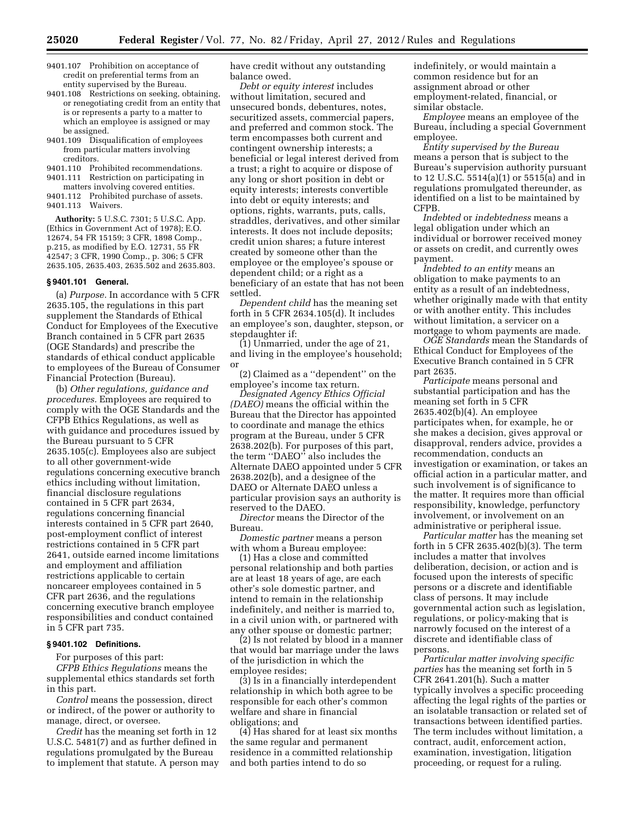- 9401.107 Prohibition on acceptance of credit on preferential terms from an entity supervised by the Bureau.
- 9401.108 Restrictions on seeking, obtaining, or renegotiating credit from an entity that is or represents a party to a matter to which an employee is assigned or may be assigned.
- 9401.109 Disqualification of employees from particular matters involving creditors.
- 9401.110 Prohibited recommendations. 9401.111 Restriction on participating in

matters involving covered entities. 9401.112 Prohibited purchase of assets. 9401.113 Waivers.

**Authority:** 5 U.S.C. 7301; 5 U.S.C. App. (Ethics in Government Act of 1978); E.O. 12674, 54 FR 15159; 3 CFR, 1898 Comp., p.215, as modified by E.O. 12731, 55 FR 42547; 3 CFR, 1990 Comp., p. 306; 5 CFR 2635.105, 2635.403, 2635.502 and 2635.803.

#### **§ 9401.101 General.**

(a) *Purpose.* In accordance with 5 CFR 2635.105, the regulations in this part supplement the Standards of Ethical Conduct for Employees of the Executive Branch contained in 5 CFR part 2635 (OGE Standards) and prescribe the standards of ethical conduct applicable to employees of the Bureau of Consumer Financial Protection (Bureau).

(b) *Other regulations, guidance and procedures.* Employees are required to comply with the OGE Standards and the CFPB Ethics Regulations, as well as with guidance and procedures issued by the Bureau pursuant to 5 CFR 2635.105(c). Employees also are subject to all other government-wide regulations concerning executive branch ethics including without limitation, financial disclosure regulations contained in 5 CFR part 2634, regulations concerning financial interests contained in 5 CFR part 2640, post-employment conflict of interest restrictions contained in 5 CFR part 2641, outside earned income limitations and employment and affiliation restrictions applicable to certain noncareer employees contained in 5 CFR part 2636, and the regulations concerning executive branch employee responsibilities and conduct contained in 5 CFR part 735.

# **§ 9401.102 Definitions.**

For purposes of this part:

*CFPB Ethics Regulations* means the supplemental ethics standards set forth in this part.

*Control* means the possession, direct or indirect, of the power or authority to manage, direct, or oversee.

*Credit* has the meaning set forth in 12 U.S.C. 5481(7) and as further defined in regulations promulgated by the Bureau to implement that statute. A person may have credit without any outstanding balance owed.

*Debt or equity interest* includes without limitation, secured and unsecured bonds, debentures, notes, securitized assets, commercial papers, and preferred and common stock. The term encompasses both current and contingent ownership interests; a beneficial or legal interest derived from a trust; a right to acquire or dispose of any long or short position in debt or equity interests; interests convertible into debt or equity interests; and options, rights, warrants, puts, calls, straddles, derivatives, and other similar interests. It does not include deposits; credit union shares; a future interest created by someone other than the employee or the employee's spouse or dependent child; or a right as a beneficiary of an estate that has not been settled.

*Dependent child* has the meaning set forth in 5 CFR 2634.105(d). It includes an employee's son, daughter, stepson, or stepdaughter if:

(1) Unmarried, under the age of 21, and living in the employee's household; or

(2) Claimed as a ''dependent'' on the employee's income tax return.

*Designated Agency Ethics Official (DAEO)* means the official within the Bureau that the Director has appointed to coordinate and manage the ethics program at the Bureau, under 5 CFR 2638.202(b). For purposes of this part, the term ''DAEO'' also includes the Alternate DAEO appointed under 5 CFR 2638.202(b), and a designee of the DAEO or Alternate DAEO unless a particular provision says an authority is reserved to the DAEO.

*Director* means the Director of the Bureau.

*Domestic partner* means a person with whom a Bureau employee:

(1) Has a close and committed personal relationship and both parties are at least 18 years of age, are each other's sole domestic partner, and intend to remain in the relationship indefinitely, and neither is married to, in a civil union with, or partnered with any other spouse or domestic partner;

(2) Is not related by blood in a manner that would bar marriage under the laws of the jurisdiction in which the employee resides;

(3) Is in a financially interdependent relationship in which both agree to be responsible for each other's common welfare and share in financial obligations; and

(4) Has shared for at least six months the same regular and permanent residence in a committed relationship and both parties intend to do so

indefinitely, or would maintain a common residence but for an assignment abroad or other employment-related, financial, or similar obstacle.

*Employee* means an employee of the Bureau, including a special Government employee.

*Entity supervised by the Bureau*  means a person that is subject to the Bureau's supervision authority pursuant to 12 U.S.C. 5514(a)(1) or 5515(a) and in regulations promulgated thereunder, as identified on a list to be maintained by CFPB.

*Indebted* or *indebtedness* means a legal obligation under which an individual or borrower received money or assets on credit, and currently owes payment.

*Indebted to an entity* means an obligation to make payments to an entity as a result of an indebtedness, whether originally made with that entity or with another entity. This includes without limitation, a servicer on a mortgage to whom payments are made.

*OGE Standards* mean the Standards of Ethical Conduct for Employees of the Executive Branch contained in 5 CFR part 2635.

*Participate* means personal and substantial participation and has the meaning set forth in 5 CFR 2635.402(b)(4). An employee participates when, for example, he or she makes a decision, gives approval or disapproval, renders advice, provides a recommendation, conducts an investigation or examination, or takes an official action in a particular matter, and such involvement is of significance to the matter. It requires more than official responsibility, knowledge, perfunctory involvement, or involvement on an administrative or peripheral issue.

*Particular matter* has the meaning set forth in 5 CFR 2635.402(b)(3). The term includes a matter that involves deliberation, decision, or action and is focused upon the interests of specific persons or a discrete and identifiable class of persons. It may include governmental action such as legislation, regulations, or policy-making that is narrowly focused on the interest of a discrete and identifiable class of persons.

*Particular matter involving specific parties* has the meaning set forth in 5 CFR 2641.201(h). Such a matter typically involves a specific proceeding affecting the legal rights of the parties or an isolatable transaction or related set of transactions between identified parties. The term includes without limitation, a contract, audit, enforcement action, examination, investigation, litigation proceeding, or request for a ruling.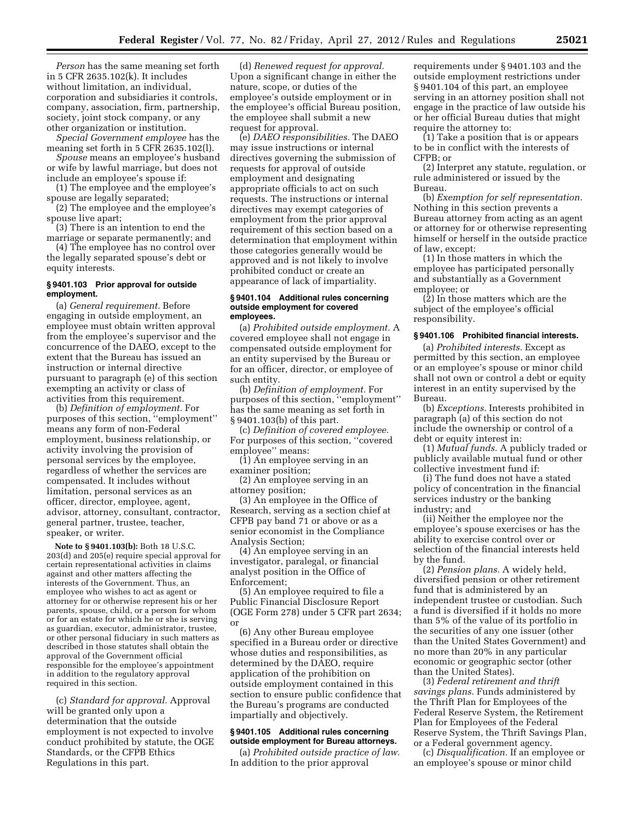*Person* has the same meaning set forth in 5 CFR 2635.102(k). It includes without limitation, an individual, corporation and subsidiaries it controls, company, association, firm, partnership, society, joint stock company, or any other organization or institution.

*Special Government employee* has the meaning set forth in 5 CFR 2635.102(l).

*Spouse* means an employee's husband or wife by lawful marriage, but does not include an employee's spouse if:

(1) The employee and the employee's spouse are legally separated;

(2) The employee and the employee's spouse live apart;

(3) There is an intention to end the marriage or separate permanently; and

(4) The employee has no control over the legally separated spouse's debt or equity interests.

#### **§ 9401.103 Prior approval for outside employment.**

(a) *General requirement.* Before engaging in outside employment, an employee must obtain written approval from the employee's supervisor and the concurrence of the DAEO, except to the extent that the Bureau has issued an instruction or internal directive pursuant to paragraph (e) of this section exempting an activity or class of activities from this requirement.

(b) *Definition of employment.* For purposes of this section, ''employment'' means any form of non-Federal employment, business relationship, or activity involving the provision of personal services by the employee, regardless of whether the services are compensated. It includes without limitation, personal services as an officer, director, employee, agent, advisor, attorney, consultant, contractor, general partner, trustee, teacher, speaker, or writer.

**Note to § 9401.103(b):** Both 18 U.S.C. 203(d) and 205(e) require special approval for certain representational activities in claims against and other matters affecting the interests of the Government. Thus, an employee who wishes to act as agent or attorney for or otherwise represent his or her parents, spouse, child, or a person for whom or for an estate for which he or she is serving as guardian, executor, administrator, trustee, or other personal fiduciary in such matters as described in those statutes shall obtain the approval of the Government official responsible for the employee's appointment in addition to the regulatory approval required in this section.

(c) *Standard for approval.* Approval will be granted only upon a determination that the outside employment is not expected to involve conduct prohibited by statute, the OGE Standards, or the CFPB Ethics Regulations in this part.

(d) *Renewed request for approval.*  Upon a significant change in either the nature, scope, or duties of the employee's outside employment or in the employee's official Bureau position, the employee shall submit a new request for approval.

(e) *DAEO responsibilities.* The DAEO may issue instructions or internal directives governing the submission of requests for approval of outside employment and designating appropriate officials to act on such requests. The instructions or internal directives may exempt categories of employment from the prior approval requirement of this section based on a determination that employment within those categories generally would be approved and is not likely to involve prohibited conduct or create an appearance of lack of impartiality.

#### **§ 9401.104 Additional rules concerning outside employment for covered employees.**

(a) *Prohibited outside employment.* A covered employee shall not engage in compensated outside employment for an entity supervised by the Bureau or for an officer, director, or employee of such entity.

(b) *Definition of employment.* For purposes of this section, ''employment'' has the same meaning as set forth in § 9401.103(b) of this part.

(c) *Definition of covered employee.*  For purposes of this section, ''covered employee'' means:

(1) An employee serving in an examiner position;

(2) An employee serving in an attorney position;

(3) An employee in the Office of Research, serving as a section chief at CFPB pay band 71 or above or as a senior economist in the Compliance Analysis Section;

(4) An employee serving in an investigator, paralegal, or financial analyst position in the Office of Enforcement;

(5) An employee required to file a Public Financial Disclosure Report (OGE Form 278) under 5 CFR part 2634; or

(6) Any other Bureau employee specified in a Bureau order or directive whose duties and responsibilities, as determined by the DAEO, require application of the prohibition on outside employment contained in this section to ensure public confidence that the Bureau's programs are conducted impartially and objectively.

#### **§ 9401.105 Additional rules concerning outside employment for Bureau attorneys.**

(a) *Prohibited outside practice of law.*  In addition to the prior approval

requirements under § 9401.103 and the outside employment restrictions under § 9401.104 of this part, an employee serving in an attorney position shall not engage in the practice of law outside his or her official Bureau duties that might require the attorney to:

(1) Take a position that is or appears to be in conflict with the interests of CFPB; or

(2) Interpret any statute, regulation, or rule administered or issued by the Bureau.

(b) *Exemption for self representation.*  Nothing in this section prevents a Bureau attorney from acting as an agent or attorney for or otherwise representing himself or herself in the outside practice of law, except:

(1) In those matters in which the employee has participated personally and substantially as a Government employee; or

(2) In those matters which are the subject of the employee's official responsibility.

## **§ 9401.106 Prohibited financial interests.**

(a) *Prohibited interests.* Except as permitted by this section, an employee or an employee's spouse or minor child shall not own or control a debt or equity interest in an entity supervised by the Bureau.

(b) *Exceptions.* Interests prohibited in paragraph (a) of this section do not include the ownership or control of a debt or equity interest in:

(1) *Mutual funds.* A publicly traded or publicly available mutual fund or other collective investment fund if:

(i) The fund does not have a stated policy of concentration in the financial services industry or the banking industry; and

(ii) Neither the employee nor the employee's spouse exercises or has the ability to exercise control over or selection of the financial interests held by the fund.

(2) *Pension plans.* A widely held, diversified pension or other retirement fund that is administered by an independent trustee or custodian. Such a fund is diversified if it holds no more than 5% of the value of its portfolio in the securities of any one issuer (other than the United States Government) and no more than 20% in any particular economic or geographic sector (other than the United States).

(3) *Federal retirement and thrift savings plans.* Funds administered by the Thrift Plan for Employees of the Federal Reserve System, the Retirement Plan for Employees of the Federal Reserve System, the Thrift Savings Plan, or a Federal government agency.

(c) *Disqualification.* If an employee or an employee's spouse or minor child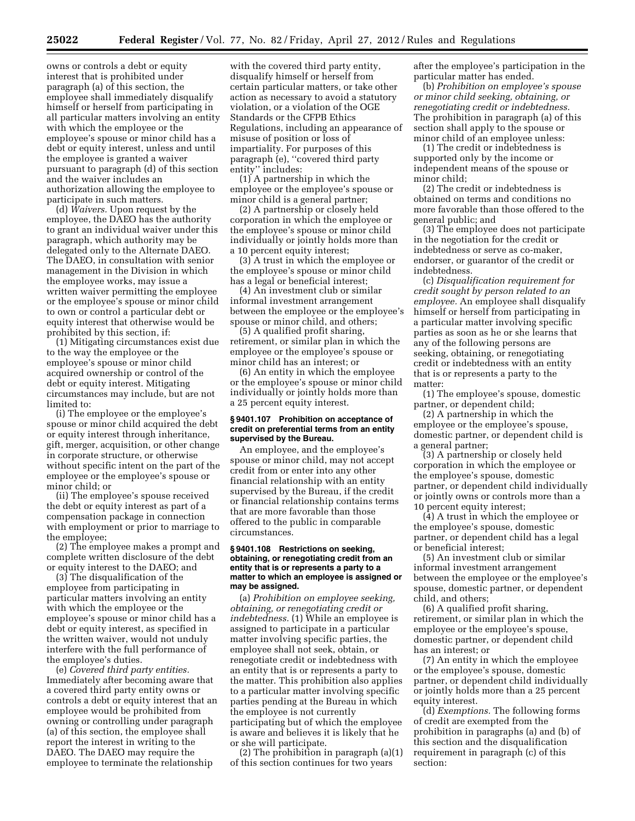owns or controls a debt or equity interest that is prohibited under paragraph (a) of this section, the employee shall immediately disqualify himself or herself from participating in all particular matters involving an entity with which the employee or the employee's spouse or minor child has a debt or equity interest, unless and until the employee is granted a waiver pursuant to paragraph (d) of this section and the waiver includes an authorization allowing the employee to participate in such matters.

(d) *Waivers.* Upon request by the employee, the DAEO has the authority to grant an individual waiver under this paragraph, which authority may be delegated only to the Alternate DAEO. The DAEO, in consultation with senior management in the Division in which the employee works, may issue a written waiver permitting the employee or the employee's spouse or minor child to own or control a particular debt or equity interest that otherwise would be prohibited by this section, if:

(1) Mitigating circumstances exist due to the way the employee or the employee's spouse or minor child acquired ownership or control of the debt or equity interest. Mitigating circumstances may include, but are not limited to:

(i) The employee or the employee's spouse or minor child acquired the debt or equity interest through inheritance, gift, merger, acquisition, or other change in corporate structure, or otherwise without specific intent on the part of the employee or the employee's spouse or minor child; or

(ii) The employee's spouse received the debt or equity interest as part of a compensation package in connection with employment or prior to marriage to the employee;

(2) The employee makes a prompt and complete written disclosure of the debt or equity interest to the DAEO; and

(3) The disqualification of the employee from participating in particular matters involving an entity with which the employee or the employee's spouse or minor child has a debt or equity interest, as specified in the written waiver, would not unduly interfere with the full performance of the employee's duties.

(e) *Covered third party entities.*  Immediately after becoming aware that a covered third party entity owns or controls a debt or equity interest that an employee would be prohibited from owning or controlling under paragraph (a) of this section, the employee shall report the interest in writing to the DAEO. The DAEO may require the employee to terminate the relationship

with the covered third party entity, disqualify himself or herself from certain particular matters, or take other action as necessary to avoid a statutory violation, or a violation of the OGE Standards or the CFPB Ethics Regulations, including an appearance of misuse of position or loss of impartiality. For purposes of this paragraph (e), ''covered third party entity'' includes:

(1) A partnership in which the employee or the employee's spouse or minor child is a general partner;

(2) A partnership or closely held corporation in which the employee or the employee's spouse or minor child individually or jointly holds more than a 10 percent equity interest;

(3) A trust in which the employee or the employee's spouse or minor child has a legal or beneficial interest;

(4) An investment club or similar informal investment arrangement between the employee or the employee's spouse or minor child, and others;

(5) A qualified profit sharing, retirement, or similar plan in which the employee or the employee's spouse or minor child has an interest; or

(6) An entity in which the employee or the employee's spouse or minor child individually or jointly holds more than a 25 percent equity interest.

#### **§ 9401.107 Prohibition on acceptance of credit on preferential terms from an entity supervised by the Bureau.**

An employee, and the employee's spouse or minor child, may not accept credit from or enter into any other financial relationship with an entity supervised by the Bureau, if the credit or financial relationship contains terms that are more favorable than those offered to the public in comparable circumstances.

#### **§ 9401.108 Restrictions on seeking, obtaining, or renegotiating credit from an entity that is or represents a party to a matter to which an employee is assigned or may be assigned.**

(a) *Prohibition on employee seeking, obtaining, or renegotiating credit or indebtedness.* (1) While an employee is assigned to participate in a particular matter involving specific parties, the employee shall not seek, obtain, or renegotiate credit or indebtedness with an entity that is or represents a party to the matter. This prohibition also applies to a particular matter involving specific parties pending at the Bureau in which the employee is not currently participating but of which the employee is aware and believes it is likely that he or she will participate.

(2) The prohibition in paragraph (a)(1) of this section continues for two years

after the employee's participation in the particular matter has ended.

(b) *Prohibition on employee's spouse or minor child seeking, obtaining, or renegotiating credit or indebtedness.*  The prohibition in paragraph (a) of this section shall apply to the spouse or minor child of an employee unless:

(1) The credit or indebtedness is supported only by the income or independent means of the spouse or minor child;

(2) The credit or indebtedness is obtained on terms and conditions no more favorable than those offered to the general public; and

(3) The employee does not participate in the negotiation for the credit or indebtedness or serve as co-maker, endorser, or guarantor of the credit or indebtedness.

(c) *Disqualification requirement for credit sought by person related to an employee.* An employee shall disqualify himself or herself from participating in a particular matter involving specific parties as soon as he or she learns that any of the following persons are seeking, obtaining, or renegotiating credit or indebtedness with an entity that is or represents a party to the matter:

(1) The employee's spouse, domestic partner, or dependent child;

(2) A partnership in which the employee or the employee's spouse, domestic partner, or dependent child is a general partner;

(3) A partnership or closely held corporation in which the employee or the employee's spouse, domestic partner, or dependent child individually or jointly owns or controls more than a 10 percent equity interest;

(4) A trust in which the employee or the employee's spouse, domestic partner, or dependent child has a legal or beneficial interest;

(5) An investment club or similar informal investment arrangement between the employee or the employee's spouse, domestic partner, or dependent child, and others;

(6) A qualified profit sharing, retirement, or similar plan in which the employee or the employee's spouse, domestic partner, or dependent child has an interest; or

(7) An entity in which the employee or the employee's spouse, domestic partner, or dependent child individually or jointly holds more than a 25 percent equity interest.

(d) *Exemptions.* The following forms of credit are exempted from the prohibition in paragraphs (a) and (b) of this section and the disqualification requirement in paragraph (c) of this section: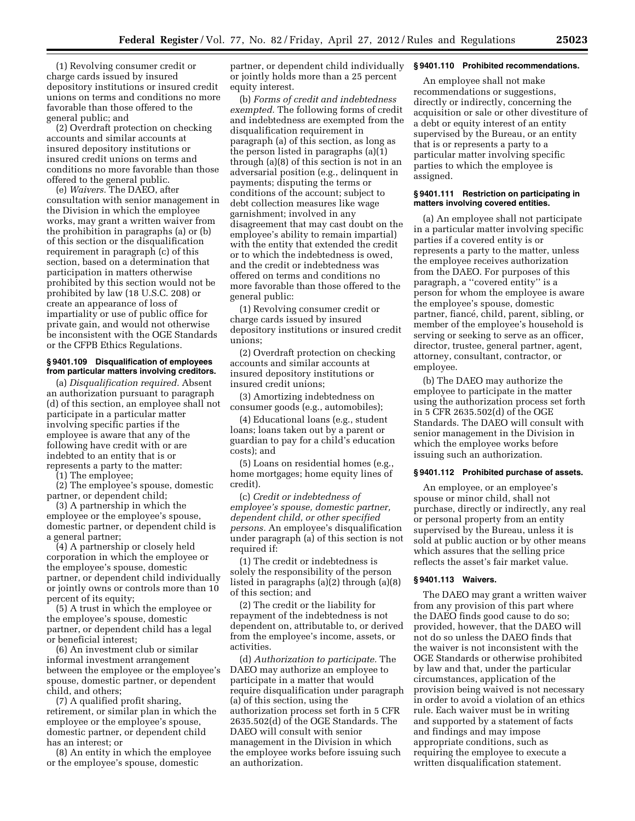(1) Revolving consumer credit or charge cards issued by insured depository institutions or insured credit unions on terms and conditions no more favorable than those offered to the general public; and

(2) Overdraft protection on checking accounts and similar accounts at insured depository institutions or insured credit unions on terms and conditions no more favorable than those offered to the general public.

(e) *Waivers.* The DAEO, after consultation with senior management in the Division in which the employee works, may grant a written waiver from the prohibition in paragraphs (a) or (b) of this section or the disqualification requirement in paragraph (c) of this section, based on a determination that participation in matters otherwise prohibited by this section would not be prohibited by law (18 U.S.C. 208) or create an appearance of loss of impartiality or use of public office for private gain, and would not otherwise be inconsistent with the OGE Standards or the CFPB Ethics Regulations.

# **§ 9401.109 Disqualification of employees from particular matters involving creditors.**

(a) *Disqualification required.* Absent an authorization pursuant to paragraph (d) of this section, an employee shall not participate in a particular matter involving specific parties if the employee is aware that any of the following have credit with or are indebted to an entity that is or represents a party to the matter:

(1) The employee;

(2) The employee's spouse, domestic partner, or dependent child;

(3) A partnership in which the employee or the employee's spouse, domestic partner, or dependent child is a general partner;

(4) A partnership or closely held corporation in which the employee or the employee's spouse, domestic partner, or dependent child individually or jointly owns or controls more than 10 percent of its equity;

(5) A trust in which the employee or the employee's spouse, domestic partner, or dependent child has a legal or beneficial interest;

(6) An investment club or similar informal investment arrangement between the employee or the employee's spouse, domestic partner, or dependent child, and others;

(7) A qualified profit sharing, retirement, or similar plan in which the employee or the employee's spouse, domestic partner, or dependent child has an interest; or

(8) An entity in which the employee or the employee's spouse, domestic

partner, or dependent child individually or jointly holds more than a 25 percent equity interest.

(b) *Forms of credit and indebtedness exempted.* The following forms of credit and indebtedness are exempted from the disqualification requirement in paragraph (a) of this section, as long as the person listed in paragraphs (a)(1) through (a)(8) of this section is not in an adversarial position (e.g., delinquent in payments; disputing the terms or conditions of the account; subject to debt collection measures like wage garnishment; involved in any disagreement that may cast doubt on the employee's ability to remain impartial) with the entity that extended the credit or to which the indebtedness is owed, and the credit or indebtedness was offered on terms and conditions no more favorable than those offered to the general public:

(1) Revolving consumer credit or charge cards issued by insured depository institutions or insured credit unions;

(2) Overdraft protection on checking accounts and similar accounts at insured depository institutions or insured credit unions;

(3) Amortizing indebtedness on consumer goods (e.g., automobiles);

(4) Educational loans (e.g., student loans; loans taken out by a parent or guardian to pay for a child's education costs); and

(5) Loans on residential homes (e.g., home mortgages; home equity lines of credit).

(c) *Credit or indebtedness of employee's spouse, domestic partner, dependent child, or other specified persons.* An employee's disqualification under paragraph (a) of this section is not required if:

(1) The credit or indebtedness is solely the responsibility of the person listed in paragraphs (a)(2) through (a)(8) of this section; and

(2) The credit or the liability for repayment of the indebtedness is not dependent on, attributable to, or derived from the employee's income, assets, or activities.

(d) *Authorization to participate.* The DAEO may authorize an employee to participate in a matter that would require disqualification under paragraph (a) of this section, using the authorization process set forth in 5 CFR 2635.502(d) of the OGE Standards. The DAEO will consult with senior management in the Division in which the employee works before issuing such an authorization.

#### **§ 9401.110 Prohibited recommendations.**

An employee shall not make recommendations or suggestions, directly or indirectly, concerning the acquisition or sale or other divestiture of a debt or equity interest of an entity supervised by the Bureau, or an entity that is or represents a party to a particular matter involving specific parties to which the employee is assigned.

# **§ 9401.111 Restriction on participating in matters involving covered entities.**

(a) An employee shall not participate in a particular matter involving specific parties if a covered entity is or represents a party to the matter, unless the employee receives authorization from the DAEO. For purposes of this paragraph, a ''covered entity'' is a person for whom the employee is aware the employee's spouse, domestic partner, fiancé, child, parent, sibling, or member of the employee's household is serving or seeking to serve as an officer, director, trustee, general partner, agent, attorney, consultant, contractor, or employee.

(b) The DAEO may authorize the employee to participate in the matter using the authorization process set forth in 5 CFR 2635.502(d) of the OGE Standards. The DAEO will consult with senior management in the Division in which the employee works before issuing such an authorization.

# **§ 9401.112 Prohibited purchase of assets.**

An employee, or an employee's spouse or minor child, shall not purchase, directly or indirectly, any real or personal property from an entity supervised by the Bureau, unless it is sold at public auction or by other means which assures that the selling price reflects the asset's fair market value.

### **§ 9401.113 Waivers.**

The DAEO may grant a written waiver from any provision of this part where the DAEO finds good cause to do so; provided, however, that the DAEO will not do so unless the DAEO finds that the waiver is not inconsistent with the OGE Standards or otherwise prohibited by law and that, under the particular circumstances, application of the provision being waived is not necessary in order to avoid a violation of an ethics rule. Each waiver must be in writing and supported by a statement of facts and findings and may impose appropriate conditions, such as requiring the employee to execute a written disqualification statement.